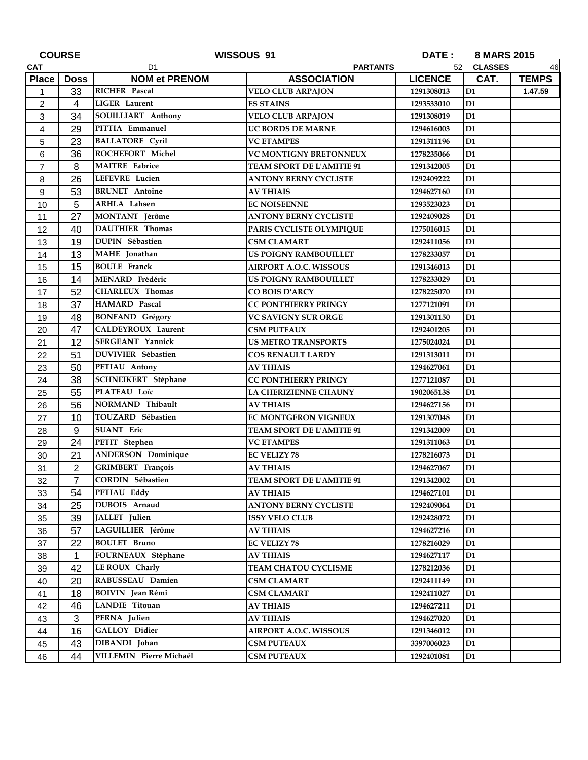| <b>COURSE</b>  |                | WISSOUS 91                |                               | DATE :<br>8 MARS 2015 |                |              |
|----------------|----------------|---------------------------|-------------------------------|-----------------------|----------------|--------------|
| <b>CAT</b>     |                | <b>PARTANTS</b><br>D1     |                               | 52 CLASSES            |                | 46           |
| <b>Place</b>   | <b>Doss</b>    | <b>NOM et PRENOM</b>      | <b>ASSOCIATION</b>            | <b>LICENCE</b>        | CAT.           | <b>TEMPS</b> |
| $\mathbf{1}$   | 33             | RICHER Pascal             | <b>VELO CLUB ARPAJON</b>      | 1291308013            | D1             | 1.47.59      |
| $\overline{c}$ | 4              | LIGER Laurent             | <b>ES STAINS</b>              | 1293533010            | D <sub>1</sub> |              |
| 3              | 34             | SOUILLIART Anthony        | <b>VELO CLUB ARPAJON</b>      | 1291308019            | D <sub>1</sub> |              |
| 4              | 29             | PITTIA Emmanuel           | <b>UC BORDS DE MARNE</b>      | 1294616003            | D1             |              |
| 5              | 23             | <b>BALLATORE Cyril</b>    | <b>VC ETAMPES</b>             | 1291311196            | D <sub>1</sub> |              |
| 6              | 36             | ROCHEFORT Michel          | <b>VC MONTIGNY BRETONNEUX</b> | 1278235066            | D <sub>1</sub> |              |
| $\overline{7}$ | 8              | <b>MAITRE</b> Fabrice     | TEAM SPORT DE L'AMITIE 91     | 1291342005            | D <sub>1</sub> |              |
| 8              | 26             | LEFEVRE Lucien            | <b>ANTONY BERNY CYCLISTE</b>  | 1292409222            | D1             |              |
| 9              | 53             | <b>BRUNET</b> Antoine     | <b>AV THIAIS</b>              | 1294627160            | D <sub>1</sub> |              |
| 10             | 5              | <b>ARHLA</b> Lahsen       | <b>EC NOISEENNE</b>           | 1293523023            | D <sub>1</sub> |              |
| 11             | 27             | MONTANT Jérôme            | <b>ANTONY BERNY CYCLISTE</b>  | 1292409028            | D <sub>1</sub> |              |
| 12             | 40             | <b>DAUTHIER Thomas</b>    | PARIS CYCLISTE OLYMPIQUE      | 1275016015            | D1             |              |
| 13             | 19             | <b>DUPIN Sébastien</b>    | <b>CSM CLAMART</b>            | 1292411056            | D1             |              |
| 14             | 13             | MAHE Jonathan             | <b>US POIGNY RAMBOUILLET</b>  | 1278233057            | D1             |              |
| 15             | 15             | <b>BOULE</b> Franck       | AIRPORT A.O.C. WISSOUS        | 1291346013            | D <sub>1</sub> |              |
| 16             | 14             | MENARD Frédéric           | US POIGNY RAMBOUILLET         | 1278233029            | D <sub>1</sub> |              |
| 17             | 52             | <b>CHARLEUX Thomas</b>    | <b>CO BOIS D'ARCY</b>         | 1278225070            | D1             |              |
| 18             | 37             | HAMARD Pascal             | <b>CC PONTHIERRY PRINGY</b>   | 1277121091            | D1             |              |
| 19             | 48             | <b>BONFAND</b> Grégory    | <b>VC SAVIGNY SUR ORGE</b>    | 1291301150            | D1             |              |
| 20             | 47             | CALDEYROUX Laurent        | <b>CSM PUTEAUX</b>            | 1292401205            | D <sub>1</sub> |              |
| 21             | 12             | <b>SERGEANT Yannick</b>   | <b>US METRO TRANSPORTS</b>    | 1275024024            | D1             |              |
| 22             | 51             | DUVIVIER Sébastien        | <b>COS RENAULT LARDY</b>      | 1291313011            | D <sub>1</sub> |              |
| 23             | 50             | PETIAU Antony             | <b>AV THIAIS</b>              | 1294627061            | D1             |              |
| 24             | 38             | SCHNEIKERT Stéphane       | <b>CC PONTHIERRY PRINGY</b>   | 1277121087            | D <sub>1</sub> |              |
| 25             | 55             | PLATEAU Loïc              | LA CHERIZIENNE CHAUNY         | 1902065138            | D1             |              |
| 26             | 56             | NORMAND Thibault          | <b>AV THIAIS</b>              | 1294627156            | D <sub>1</sub> |              |
| 27             | 10             | TOUZARD Sébastien         | EC MONTGERON VIGNEUX          | 1291307048            | D <sub>1</sub> |              |
| 28             | 9              | <b>SUANT</b> Eric         | TEAM SPORT DE L'AMITIE 91     | 1291342009            | D <sub>1</sub> |              |
| 29             | 24             | PETIT Stephen             | <b>VC ETAMPES</b>             | 1291311063            | D1             |              |
| 30             | 21             | <b>ANDERSON Dominique</b> | <b>EC VELIZY 78</b>           | 1278216073            | D1             |              |
| 31             | $\overline{2}$ | GRIMBERT François         | <b>AV THIAIS</b>              | 1294627067            | D <sub>1</sub> |              |
| 32             | $\overline{7}$ | CORDIN Sébastien          | TEAM SPORT DE L'AMITIE 91     | 1291342002            | D <sub>1</sub> |              |
| 33             | 54             | PETIAU Eddy               | AV THIAIS                     | 1294627101            | D1             |              |
| 34             | 25             | DUBOIS Arnaud             | <b>ANTONY BERNY CYCLISTE</b>  | 1292409064            | D <sub>1</sub> |              |
| 35             | 39             | JALLET Julien             | <b>ISSY VELO CLUB</b>         | 1292428072            | D <sub>1</sub> |              |
| 36             | 57             | LAGUILLIER Jérôme         | <b>AV THIAIS</b>              | 1294627216            | D1             |              |
| 37             | 22             | <b>BOULET</b> Bruno       | <b>EC VELIZY 78</b>           | 1278216029            | D <sub>1</sub> |              |
| 38             | 1              | FOURNEAUX Stéphane        | <b>AV THIAIS</b>              | 1294627117            | D1             |              |
| 39             | 42             | LE ROUX Charly            | TEAM CHATOU CYCLISME          | 1278212036            | D1             |              |
| 40             | 20             | RABUSSEAU Damien          | <b>CSM CLAMART</b>            | 1292411149            | D <sub>1</sub> |              |
| 41             | 18             | <b>BOIVIN</b> Jean Rémi   | <b>CSM CLAMART</b>            | 1292411027            | D1             |              |
| 42             | 46             | LANDIE Titouan            | <b>AV THIAIS</b>              | 1294627211            | D1             |              |
| 43             | 3              | PERNA Julien              | <b>AV THIAIS</b>              | 1294627020            | D <sub>1</sub> |              |
| 44             | 16             | <b>GALLOY Didier</b>      | <b>AIRPORT A.O.C. WISSOUS</b> | 1291346012            | D1             |              |
| 45             | 43             | DIBANDI Johan             | <b>CSM PUTEAUX</b>            | 3397006023            | D <sub>1</sub> |              |
| 46             | 44             | VILLEMIN Pierre Michaël   | <b>CSM PUTEAUX</b>            | 1292401081            | D1             |              |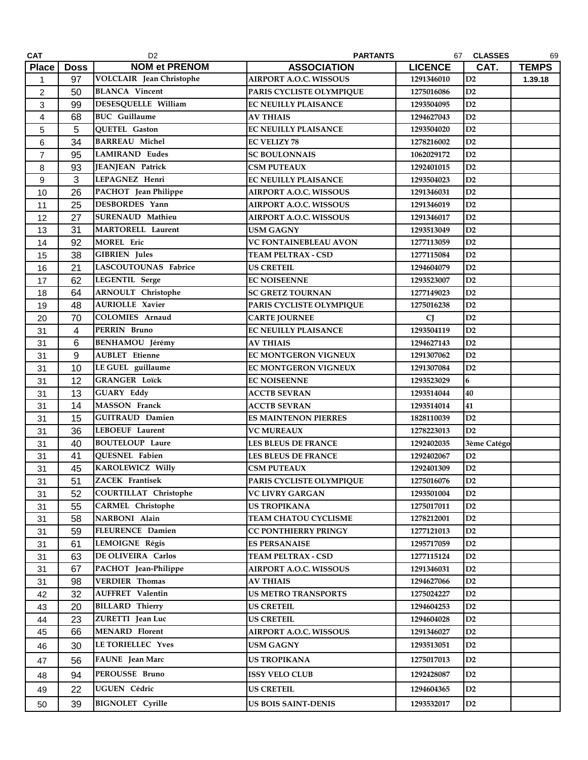| <b>CAT</b>     |                | D <sub>2</sub>                  | <b>PARTANTS</b>               |                | 67 CLASSES     | 69           |
|----------------|----------------|---------------------------------|-------------------------------|----------------|----------------|--------------|
| <b>Place</b>   | <b>Doss</b>    | <b>NOM et PRENOM</b>            | <b>ASSOCIATION</b>            | <b>LICENCE</b> | CAT.           | <b>TEMPS</b> |
| $\mathbf{1}$   | 97             | <b>VOLCLAIR</b> Jean Christophe | <b>AIRPORT A.O.C. WISSOUS</b> | 1291346010     | D2             | 1.39.18      |
| $\overline{c}$ | 50             | <b>BLANCA</b> Vincent           | PARIS CYCLISTE OLYMPIQUE      | 1275016086     | D2             |              |
| 3              | 99             | DESESQUELLE William             | <b>EC NEUILLY PLAISANCE</b>   | 1293504095     | D2             |              |
| 4              | 68             | <b>BUC</b> Guillaume            | <b>AV THIAIS</b>              | 1294627043     | D2             |              |
| 5              | 5              | QUETEL Gaston                   | EC NEUILLY PLAISANCE          | 1293504020     | D2             |              |
| 6              | 34             | <b>BARREAU Michel</b>           | <b>EC VELIZY 78</b>           | 1278216002     | D2             |              |
| $\overline{7}$ | 95             | <b>LAMIRAND Eudes</b>           | <b>SC BOULONNAIS</b>          | 1062029172     | D2             |              |
| 8              | 93             | JEANJEAN Patrick                | <b>CSM PUTEAUX</b>            | 1292401015     | D2             |              |
| 9              | 3              | LEPAGNEZ Henri                  | EC NEUILLY PLAISANCE          | 1293504023     | D2             |              |
| 10             | 26             | PACHOT Jean Philippe            | <b>AIRPORT A.O.C. WISSOUS</b> | 1291346031     | D2             |              |
| 11             | 25             | DESBORDES Yann                  | AIRPORT A.O.C. WISSOUS        | 1291346019     | D2             |              |
| 12             | 27             | <b>SURENAUD Mathieu</b>         | <b>AIRPORT A.O.C. WISSOUS</b> | 1291346017     | D2             |              |
| 13             | 31             | <b>MARTORELL Laurent</b>        | <b>USM GAGNY</b>              | 1293513049     | D2             |              |
| 14             | 92             | <b>MOREL Eric</b>               | <b>VC FONTAINEBLEAU AVON</b>  | 1277113059     | D2             |              |
| 15             | 38             | <b>GIBRIEN</b> Jules            | <b>TEAM PELTRAX - CSD</b>     | 1277115084     | D2             |              |
| 16             | 21             | LASCOUTOUNAS Fabrice            | <b>US CRETEIL</b>             | 1294604079     | D2             |              |
| 17             | 62             | LEGENTIL Serge                  | <b>EC NOISEENNE</b>           | 1293523007     | D2             |              |
| 18             | 64             | <b>ARNOULT</b> Christophe       | <b>SC GRETZ TOURNAN</b>       | 1277149023     | D2             |              |
| 19             | 48             | <b>AURIOLLE Xavier</b>          | PARIS CYCLISTE OLYMPIQUE      | 1275016238     | D2             |              |
| 20             | 70             | <b>COLOMIES</b> Arnaud          | <b>CARTE JOURNEE</b>          | CJ             | D2             |              |
| 31             | $\overline{4}$ | PERRIN Bruno                    | <b>EC NEUILLY PLAISANCE</b>   | 1293504119     | D2             |              |
| 31             | 6              | <b>BENHAMOU Jérémy</b>          | <b>AV THIAIS</b>              | 1294627143     | D2             |              |
| 31             | 9              | <b>AUBLET</b> Etienne           | <b>EC MONTGERON VIGNEUX</b>   | 1291307062     | D2             |              |
| 31             | 10             | LE GUEL guillaume               | EC MONTGERON VIGNEUX          | 1291307084     | D2             |              |
| 31             | 12             | <b>GRANGER Loïck</b>            | <b>EC NOISEENNE</b>           | 1293523029     | 6              |              |
| 31             | 13             | <b>GUARY Eddy</b>               | <b>ACCTB SEVRAN</b>           | 1293514044     | 40             |              |
| 31             | 14             | <b>MASSON</b> Franck            | <b>ACCTB SEVRAN</b>           | 1293514014     | 41             |              |
| 31             | 15             | <b>GUITRAUD Damien</b>          | <b>ES MAINTENON PIERRES</b>   | 1828110039     | D2             |              |
| 31             | 36             | <b>LEBOEUF Laurent</b>          | <b>VC MUREAUX</b>             | 1278223013     | D2             |              |
| 31             | 40             | <b>BOUTELOUP Laure</b>          | <b>LES BLEUS DE FRANCE</b>    | 1292402035     | 3ème Catégo    |              |
| 31             | 41             | QUESNEL Fabien                  | <b>LES BLEUS DE FRANCE</b>    | 1292402067     | D2             |              |
| 31             | 45             | KAROLEWICZ Willy                | <b>CSM PUTEAUX</b>            | 1292401309     | D2             |              |
| 31             | 51             | <b>ZACEK</b> Frantisek          | PARIS CYCLISTE OLYMPIQUE      | 1275016076     | D2             |              |
| 31             | 52             | <b>COURTILLAT Christophe</b>    | <b>VC LIVRY GARGAN</b>        | 1293501004     | D2             |              |
| 31             | 55             | <b>CARMEL</b> Christophe        | <b>US TROPIKANA</b>           | 1275017011     | D2             |              |
| 31             | 58             | NARBONI Alain                   | <b>TEAM CHATOU CYCLISME</b>   | 1278212001     | D2             |              |
| 31             | 59             | FLEURENCE Damien                | <b>CC PONTHIERRY PRINGY</b>   | 1277121013     | D2             |              |
| 31             | 61             | LEMOIGNE Régis                  | <b>ES PERSANAISE</b>          | 1295717059     | D2             |              |
| 31             | 63             | DE OLIVEIRA Carlos              | TEAM PELTRAX - CSD            | 1277115124     | D <sub>2</sub> |              |
| 31             | 67             | PACHOT Jean-Philippe            | <b>AIRPORT A.O.C. WISSOUS</b> | 1291346031     | D2             |              |
| 31             | 98             | <b>VERDIER Thomas</b>           | <b>AV THIAIS</b>              | 1294627066     | D2             |              |
| 42             | 32             | <b>AUFFRET</b> Valentin         | <b>US METRO TRANSPORTS</b>    | 1275024227     | D <sub>2</sub> |              |
| 43             | 20             | <b>BILLARD Thierry</b>          | <b>US CRETEIL</b>             | 1294604253     | D2             |              |
| 44             | 23             | ZURETTI Jean Luc                | <b>US CRETEIL</b>             | 1294604028     | D2             |              |
| 45             | 66             | <b>MENARD Florent</b>           | <b>AIRPORT A.O.C. WISSOUS</b> | 1291346027     | D2             |              |
| 46             | 30             | <b>LE TORIELLEC Yves</b>        | <b>USM GAGNY</b>              | 1293513051     | D <sub>2</sub> |              |
|                |                | <b>FAUNE</b> Jean Marc          | <b>US TROPIKANA</b>           | 1275017013     | D <sub>2</sub> |              |
| 47             | 56             |                                 |                               |                |                |              |
| 48             | 94             | PEROUSSE Bruno                  | <b>ISSY VELO CLUB</b>         | 1292428087     | D <sub>2</sub> |              |
| 49             | 22             | <b>UGUEN Cédric</b>             | <b>US CRETEIL</b>             | 1294604365     | D <sub>2</sub> |              |
| 50             | 39             | <b>BIGNOLET</b> Cyrille         | <b>US BOIS SAINT-DENIS</b>    | 1293532017     | D2             |              |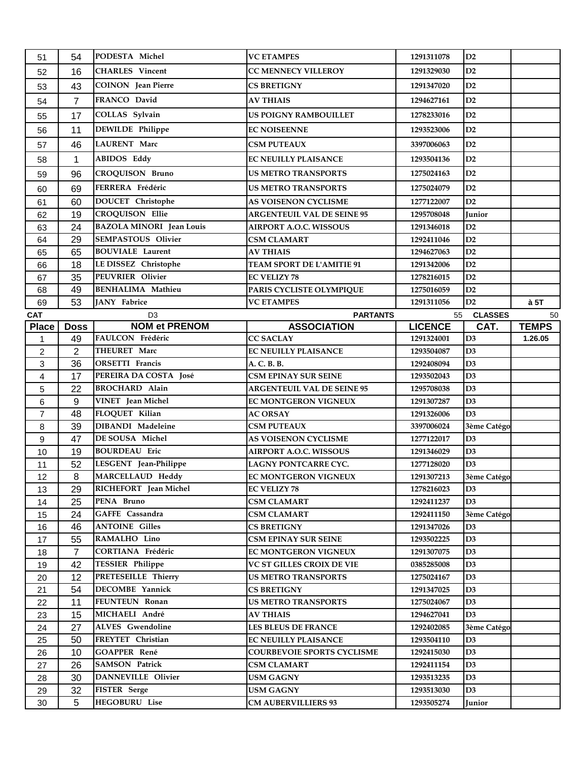| 51               | 54             | PODESTA Michel                               | <b>VC ETAMPES</b>                             | 1291311078               | D2                            |              |
|------------------|----------------|----------------------------------------------|-----------------------------------------------|--------------------------|-------------------------------|--------------|
| 52               | 16             | <b>CHARLES</b> Vincent                       | <b>CC MENNECY VILLEROY</b>                    | 1291329030               | D2                            |              |
| 53               | 43             | <b>COINON</b> Jean Pierre                    | <b>CS BRETIGNY</b>                            | 1291347020               | D2                            |              |
| 54               | $\overline{7}$ | FRANCO David                                 | <b>AV THIAIS</b>                              | 1294627161               | D2                            |              |
| 55               | 17             | COLLAS Sylvain                               | US POIGNY RAMBOUILLET                         | 1278233016               | D2                            |              |
| 56               | 11             | DEWILDE Philippe                             | <b>EC NOISEENNE</b>                           | 1293523006               | D2                            |              |
| 57               | 46             | <b>LAURENT Marc</b>                          | <b>CSM PUTEAUX</b>                            | 3397006063               | D2                            |              |
|                  |                | <b>ABIDOS Eddy</b>                           | <b>EC NEUILLY PLAISANCE</b>                   | 1293504136               | D2                            |              |
| 58               | $\mathbf{1}$   |                                              |                                               |                          |                               |              |
| 59               | 96             | <b>CROQUISON Bruno</b>                       | <b>US METRO TRANSPORTS</b>                    | 1275024163               | D2                            |              |
| 60               | 69             | FERRERA Frédéric                             | <b>US METRO TRANSPORTS</b>                    | 1275024079               | D2                            |              |
| 61               | 60             | <b>DOUCET</b> Christophe                     | <b>AS VOISENON CYCLISME</b>                   | 1277122007               | D2                            |              |
| 62               | 19             | <b>CROQUISON Ellie</b>                       | <b>ARGENTEUIL VAL DE SEINE 95</b>             | 1295708048               | <b>Junior</b>                 |              |
| 63               | 24             | <b>BAZOLA MINORI</b> Jean Louis              | <b>AIRPORT A.O.C. WISSOUS</b>                 | 1291346018               | D2                            |              |
| 64               | 29             | <b>SEMPASTOUS Olivier</b>                    | <b>CSM CLAMART</b>                            | 1292411046               | D2                            |              |
| 65               | 65             | <b>BOUVIALE Laurent</b>                      | <b>AV THIAIS</b>                              | 1294627063               | D2                            |              |
| 66               | 18             | LE DISSEZ Christophe                         | TEAM SPORT DE L'AMITIE 91                     | 1291342006               | D2                            |              |
| 67               | 35             | PEUVRIER Olivier<br><b>BENHALIMA Mathieu</b> | <b>EC VELIZY 78</b>                           | 1278216015               | D2                            |              |
| 68               | 49<br>53       | JANY Fabrice                                 | PARIS CYCLISTE OLYMPIQUE<br><b>VC ETAMPES</b> | 1275016059<br>1291311056 | D2<br>D2                      | à 5T         |
| 69<br><b>CAT</b> |                | D <sub>3</sub>                               | <b>PARTANTS</b>                               | 55                       | <b>CLASSES</b>                | 50           |
| <b>Place</b>     | <b>Doss</b>    | <b>NOM et PRENOM</b>                         | <b>ASSOCIATION</b>                            | <b>LICENCE</b>           | CAT.                          | <b>TEMPS</b> |
| 1                | 49             | FAULCON Frédéric                             | <b>CC SACLAY</b>                              | 1291324001               | D <sub>3</sub>                | 1.26.05      |
| 2                | $\overline{2}$ | THEURET Marc                                 | <b>EC NEUILLY PLAISANCE</b>                   | 1293504087               | D <sub>3</sub>                |              |
| 3                | 36             | <b>ORSETTI</b> Francis                       | A. C. B. B.                                   | 1292408094               | D <sub>3</sub>                |              |
| 4                | 17             | PEREIRA DA COSTA José                        | <b>CSM EPINAY SUR SEINE</b>                   | 1293502043               | D <sub>3</sub>                |              |
| 5                | 22             | <b>BROCHARD Alain</b>                        | <b>ARGENTEUIL VAL DE SEINE 95</b>             | 1295708038               | D3                            |              |
| $\,6$            | 9              | VINET Jean Michel                            | EC MONTGERON VIGNEUX                          | 1291307287               | D3                            |              |
| $\overline{7}$   | 48             | FLOQUET Kilian                               | <b>AC ORSAY</b>                               | 1291326006               | D <sub>3</sub>                |              |
| 8                | 39             | <b>DIBANDI Madeleine</b>                     | <b>CSM PUTEAUX</b>                            | 3397006024               | 3ème Catégo                   |              |
| 9                | 47             | DE SOUSA Michel                              | AS VOISENON CYCLISME                          | 1277122017               | D <sub>3</sub>                |              |
| 10               | 19             | <b>BOURDEAU</b> Eric                         | <b>AIRPORT A.O.C. WISSOUS</b>                 | 1291346029               | D3                            |              |
| 11               | 52             | LESGENT Jean-Philippe                        | LAGNY PONTCARRE CYC.                          | 1277128020               | D3                            |              |
| 12               | 8              | MARCELLAUD Heddy                             | EC MONTGERON VIGNEUX                          | 1291307213               | 3ème Catégo                   |              |
| 13               | 29             | RICHEFORT Jean Michel                        | <b>EC VELIZY 78</b>                           | 1278216023               | D <sub>3</sub>                |              |
| 14               | 25             | PENA Bruno                                   | <b>CSM CLAMART</b>                            | 1292411237               | D <sub>3</sub>                |              |
| 15               | 24             | GAFFE Cassandra                              | <b>CSM CLAMART</b>                            | 1292411150               | 3ème Catégo                   |              |
| 16               | 46             | <b>ANTOINE Gilles</b>                        | <b>CS BRETIGNY</b>                            | 1291347026               | D3                            |              |
| 17               | 55             | RAMALHO Lino                                 | <b>CSM EPINAY SUR SEINE</b>                   | 1293502225               | D <sub>3</sub>                |              |
| 18               | 7              | CORTIANA Frédéric                            | <b>EC MONTGERON VIGNEUX</b>                   | 1291307075               | D <sub>3</sub>                |              |
| 19               | 42             | <b>TESSIER Philippe</b>                      | VC ST GILLES CROIX DE VIE                     | 0385285008               | D <sub>3</sub>                |              |
| 20               | 12             | <b>PRETESEILLE Thierry</b>                   | <b>US METRO TRANSPORTS</b>                    | 1275024167               | D <sub>3</sub>                |              |
| 21               | 54             | DECOMBE Yannick<br>FEUNTEUN Ronan            | <b>CS BRETIGNY</b>                            | 1291347025               | D <sub>3</sub><br>D3          |              |
| 22               | 11             |                                              | <b>US METRO TRANSPORTS</b>                    | 1275024067               |                               |              |
| 23               | 15<br>27       | MICHAELI André<br>ALVES Gwendoline           | <b>AV THIAIS</b><br>LES BLEUS DE FRANCE       | 1294627041<br>1292402085 | D <sub>3</sub><br>3ème Catégo |              |
| 24               | 50             | FREYTET Christian                            | <b>EC NEUILLY PLAISANCE</b>                   | 1293504110               | D <sub>3</sub>                |              |
| 25<br>26         | 10             | GOAPPER René                                 | <b>COURBEVOIE SPORTS CYCLISME</b>             | 1292415030               | D <sub>3</sub>                |              |
| 27               | 26             | <b>SAMSON Patrick</b>                        | <b>CSM CLAMART</b>                            | 1292411154               | D3                            |              |
| 28               | 30             | DANNEVILLE Olivier                           | <b>USM GAGNY</b>                              | 1293513235               | D <sub>3</sub>                |              |
| 29               | 32             | <b>FISTER</b> Serge                          | <b>USM GAGNY</b>                              | 1293513030               | D <sub>3</sub>                |              |
| 30               | 5              | <b>HEGOBURU Lise</b>                         | <b>CM AUBERVILLIERS 93</b>                    | 1293505274               | Junior                        |              |
|                  |                |                                              |                                               |                          |                               |              |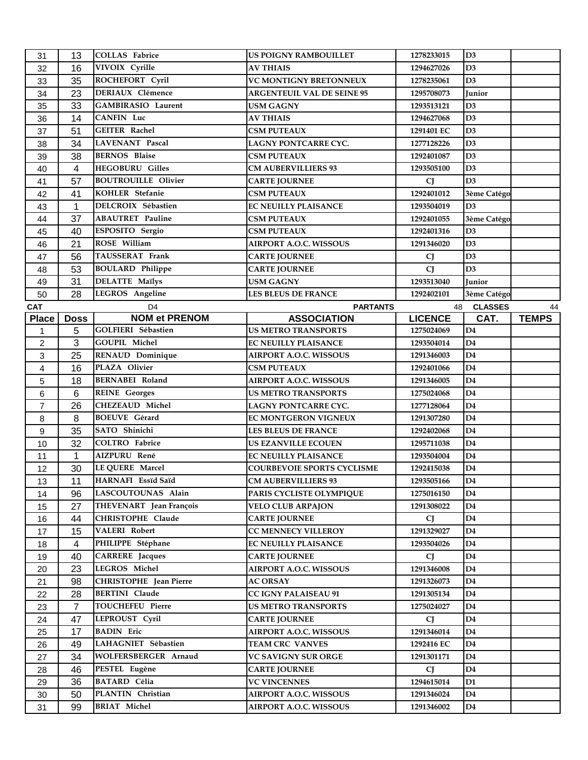| 31             | 13           | <b>COLLAS</b> Fabrice         | <b>US POIGNY RAMBOUILLET</b>      | 1278233015     | D <sub>3</sub> |              |
|----------------|--------------|-------------------------------|-----------------------------------|----------------|----------------|--------------|
| 32             | 16           | VIVOIX Cyrille                | <b>AV THIAIS</b>                  | 1294627026     | D <sub>3</sub> |              |
| 33             | 35           | ROCHEFORT Cyril               | <b>VC MONTIGNY BRETONNEUX</b>     | 1278235061     | D <sub>3</sub> |              |
| 34             | 23           | <b>DERIAUX Clémence</b>       | <b>ARGENTEUIL VAL DE SEINE 95</b> | 1295708073     | Junior         |              |
| 35             | 33           | GAMBIRASIO Laurent            | <b>USM GAGNY</b>                  | 1293513121     | D3             |              |
| 36             | 14           | CANFIN Luc                    | <b>AV THIAIS</b>                  | 1294627068     | D3             |              |
| 37             | 51           | <b>GEITER Rachel</b>          | <b>CSM PUTEAUX</b>                | 1291401 EC     | D3             |              |
| 38             | 34           | LAVENANT Pascal               | LAGNY PONTCARRE CYC.              | 1277128226     | D <sub>3</sub> |              |
| 39             | 38           | <b>BERNOS</b> Blaise          | <b>CSM PUTEAUX</b>                | 1292401087     | D <sub>3</sub> |              |
| 40             | 4            | <b>HEGOBURU Gilles</b>        | <b>CM AUBERVILLIERS 93</b>        | 1293505100     | D3             |              |
| 41             | 57           | <b>BOUTROUILLE Olivier</b>    | <b>CARTE JOURNEE</b>              | <b>CJ</b>      | D <sub>3</sub> |              |
| 42             | 41           | KOHLER Stefanie               | <b>CSM PUTEAUX</b>                | 1292401012     | 3ème Catégo    |              |
| 43             | 1            | DELCROIX Sébastien            | <b>EC NEUILLY PLAISANCE</b>       | 1293504019     | D <sub>3</sub> |              |
| 44             | 37           | <b>ABAUTRET Pauline</b>       | <b>CSM PUTEAUX</b>                | 1292401055     | 3ème Catégo    |              |
| 45             | 40           | ESPOSITO Sergio               | <b>CSM PUTEAUX</b>                | 1292401316     | D <sub>3</sub> |              |
| 46             | 21           | ROSE William                  | <b>AIRPORT A.O.C. WISSOUS</b>     | 1291346020     | D3             |              |
| 47             | 56           | <b>TAUSSERAT Frank</b>        | <b>CARTE JOURNEE</b>              | <b>CJ</b>      | D3             |              |
| 48             | 53           | <b>BOULARD Philippe</b>       | <b>CARTE JOURNEE</b>              | <b>CJ</b>      | D <sub>3</sub> |              |
| 49             | 31           | <b>DELATTE Maïlys</b>         | <b>USM GAGNY</b>                  | 1293513040     | <b>Junior</b>  |              |
| 50             | 28           | LEGROS Angeline               | LES BLEUS DE FRANCE               | 1292402101     | 3ème Catégo    |              |
| <b>CAT</b>     |              | D <sub>4</sub>                | <b>PARTANTS</b>                   |                | 48 CLASSES     | 44           |
| <b>Place</b>   | <b>Doss</b>  | <b>NOM et PRENOM</b>          | <b>ASSOCIATION</b>                | <b>LICENCE</b> | CAT.           | <b>TEMPS</b> |
| 1              | 5            | GOLFIERI Sébastien            | <b>US METRO TRANSPORTS</b>        | 1275024069     | D <sub>4</sub> |              |
| $\overline{2}$ | 3            | GOUPIL Michel                 | <b>EC NEUILLY PLAISANCE</b>       | 1293504014     | D <sub>4</sub> |              |
| 3              | 25           | RENAUD Dominique              | <b>AIRPORT A.O.C. WISSOUS</b>     | 1291346003     | D <sub>4</sub> |              |
| 4              | 16           | PLAZA Olivier                 | <b>CSM PUTEAUX</b>                | 1292401066     | D <sub>4</sub> |              |
| 5              | 18           | <b>BERNABEI Roland</b>        | <b>AIRPORT A.O.C. WISSOUS</b>     | 1291346005     | D <sub>4</sub> |              |
| 6              | 6            | <b>REINE</b> Georges          | <b>US METRO TRANSPORTS</b>        | 1275024068     | D4             |              |
| $\overline{7}$ | 26           | <b>CHEZEAUD Michel</b>        | LAGNY PONTCARRE CYC.              | 1277128064     | D <sub>4</sub> |              |
| 8              | 8            | <b>BOEUVE</b> Gérard          | <b>EC MONTGERON VIGNEUX</b>       | 1291307280     | D <sub>4</sub> |              |
| 9              | 35           | SATO Shinichi                 | <b>LES BLEUS DE FRANCE</b>        | 1292402068     | D <sub>4</sub> |              |
| 10             | 32           | <b>COLTRO</b> Fabrice         | <b>US EZANVILLE ECOUEN</b>        | 1295711038     | D4             |              |
| 11             | $\mathbf{1}$ | AIZPURU René                  | <b>EC NEUILLY PLAISANCE</b>       | 1293504004     | D <sub>4</sub> |              |
| 12             | 30           | LE QUERE Marcel               | COURBEVOIE SPORTS CYCLISME        | 1292415038     | D4             |              |
| 13             | 11           | HARNAFI Essïd Saïd            | <b>CM AUBERVILLIERS 93</b>        | 1293505166     | D4             |              |
| 14             | 96           | LASCOUTOUNAS Alain            | PARIS CYCLISTE OLYMPIQUE          | 1275016150     | D4             |              |
| 15             | 27           | THEVENART Jean François       | <b>VELO CLUB ARPAJON</b>          | 1291308022     | D4             |              |
| 16             | 44           | CHRISTOPHE Claude             | <b>CARTE JOURNEE</b>              | <b>CJ</b>      | D <sub>4</sub> |              |
| 17             | 15           | VALERI Robert                 | <b>CC MENNECY VILLEROY</b>        | 1291329027     | D <sub>4</sub> |              |
| 18             | 4            | PHILIPPE Stéphane             | <b>EC NEUILLY PLAISANCE</b>       | 1293504026     | D <sub>4</sub> |              |
| 19             | 40           | <b>CARRERE</b> Jacques        | <b>CARTE JOURNEE</b>              | <b>CJ</b>      | D4             |              |
| 20             | 23           | LEGROS Michel                 | <b>AIRPORT A.O.C. WISSOUS</b>     | 1291346008     | D <sub>4</sub> |              |
| 21             | 98           | <b>CHRISTOPHE</b> Jean Pierre | <b>AC ORSAY</b>                   | 1291326073     | D4             |              |
| 22             | 28           | <b>BERTINI</b> Claude         | <b>CC IGNY PALAISEAU 91</b>       | 1291305134     | D <sub>4</sub> |              |
| 23             | 7            | TOUCHEFEU Pierre              | <b>US METRO TRANSPORTS</b>        | 1275024027     | D4             |              |
| 24             | 47           | LEPROUST Cyril                | <b>CARTE JOURNEE</b>              | <b>CJ</b>      | D <sub>4</sub> |              |
| 25             | 17           | <b>BADIN</b> Eric             | <b>AIRPORT A.O.C. WISSOUS</b>     | 1291346014     | D <sub>4</sub> |              |
| 26             | 49           | LAHAGNIET Sébastien           | <b>TEAM CRC VANVES</b>            | 1292416 EC     | D4             |              |
| 27             | 34           | WOLFERSBERGER Arnaud          | VC SAVIGNY SUR ORGE               | 1291301171     | D4             |              |
| 28             | 46           | PESTEL Eugène                 | <b>CARTE JOURNEE</b>              | <b>CJ</b>      | D4             |              |
| 29             | 36           | <b>BATARD Célia</b>           | <b>VC VINCENNES</b>               | 1294615014     | D1             |              |
| 30             | 50           | PLANTIN Christian             | <b>AIRPORT A.O.C. WISSOUS</b>     | 1291346024     | D4             |              |
| 31             | 99           | <b>BRIAT Michel</b>           | <b>AIRPORT A.O.C. WISSOUS</b>     | 1291346002     | D4             |              |